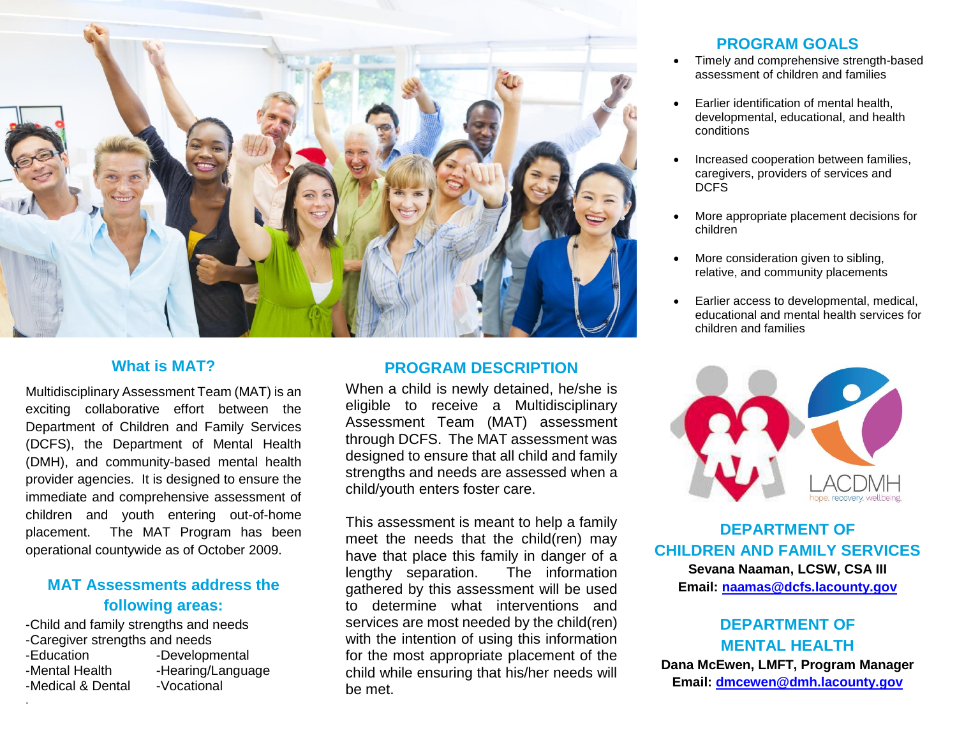

#### **What is MAT?**

Multidisciplinary Assessment Team (MAT) is an exciting collaborative effort between the Department of Children and Family Services (DCFS), the Department of Mental Health (DMH), and community-based mental health provider agencies. It is designed to ensure the immediate and comprehensive assessment of children and youth entering out-of-home placement. The MAT Program has been operational countywide as of October 2009.

# **MAT Assessments address the following areas:**

-Child and family strengths and needs -Caregiver strengths and needs -Education -Developmental -Mental Health -Hearing/Language -Medical & Dental -Vocational

.

#### **PROGRAM DESCRIPTION**

When a child is newly detained, he/she is eligible to receive a Multidisciplinary Assessment Team (MAT) assessment through DCFS. The MAT assessment was designed to ensure that all child and family strengths and needs are assessed when a child/youth enters foster care.

This assessment is meant to help a family meet the needs that the child(ren) may have that place this family in danger of a lengthy separation. The information gathered by this assessment will be used to determine what interventions and services are most needed by the child(ren) with the intention of using this information for the most appropriate placement of the child while ensuring that his/her needs will be met.

### **PROGRAM GOALS**

- Timely and comprehensive strength-based assessment of children and families
- Earlier identification of mental health, developmental, educational, and health conditions
- Increased cooperation between families, caregivers, providers of services and DCFS
- More appropriate placement decisions for children
- More consideration given to sibling, relative, and community placements
- Earlier access to developmental, medical, educational and mental health services for children and families



**DEPARTMENT OF CHILDREN AND FAMILY SERVICES**

**Sevana Naaman, LCSW, CSA III Email: [naamas@dcfs.lacounty.gov](mailto:naamas@dcfs.lacounty.gov)**

# **DEPARTMENT OF MENTAL HEALTH**

**Dana McEwen, LMFT, Program Manager Email: [dmcewen@dmh.lacounty.gov](mailto:dmcewen@dmh.lacounty.gov)**